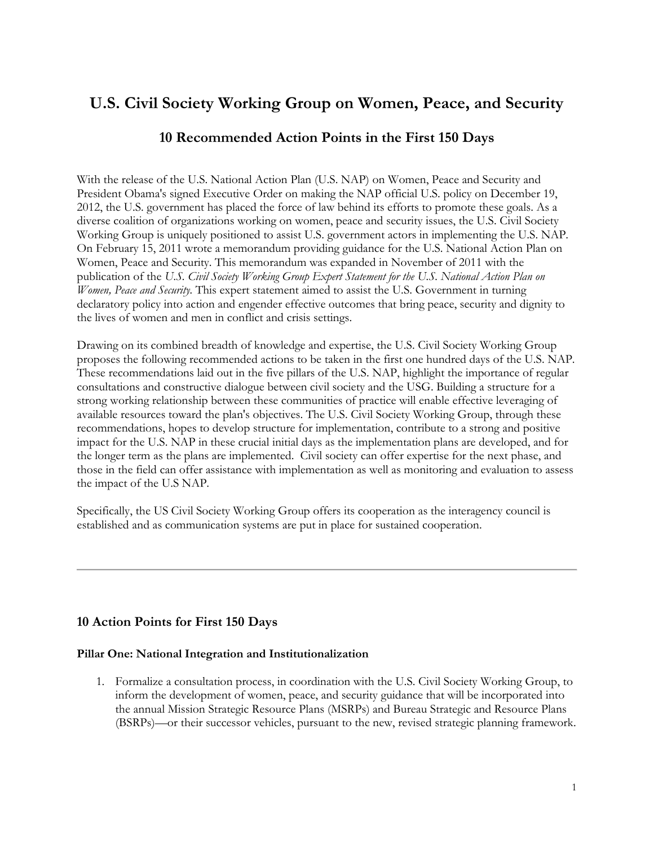# **U.S. Civil Society Working Group on Women, Peace, and Security**

## **10 Recommended Action Points in the First 150 Days**

With the release of the U.S. National Action Plan (U.S. NAP) on Women, Peace and Security and President Obama's signed Executive Order on making the NAP official U.S. policy on December 19, 2012, the U.S. government has placed the force of law behind its efforts to promote these goals. As a diverse coalition of organizations working on women, peace and security issues, the U.S. Civil Society Working Group is uniquely positioned to assist U.S. government actors in implementing the U.S. NAP. On February 15, 2011 wrote a memorandum providing guidance for the U.S. National Action Plan on Women, Peace and Security. This memorandum was expanded in November of 2011 with the publication of the *U.S. Civil Society Working Group Expert Statement for the U.S. National Action Plan on Women, Peace and Security.* This expert statement aimed to assist the U.S. Government in turning declaratory policy into action and engender effective outcomes that bring peace, security and dignity to the lives of women and men in conflict and crisis settings.

Drawing on its combined breadth of knowledge and expertise, the U.S. Civil Society Working Group proposes the following recommended actions to be taken in the first one hundred days of the U.S. NAP. These recommendations laid out in the five pillars of the U.S. NAP, highlight the importance of regular consultations and constructive dialogue between civil society and the USG. Building a structure for a strong working relationship between these communities of practice will enable effective leveraging of available resources toward the plan's objectives. The U.S. Civil Society Working Group, through these recommendations, hopes to develop structure for implementation, contribute to a strong and positive impact for the U.S. NAP in these crucial initial days as the implementation plans are developed, and for the longer term as the plans are implemented. Civil society can offer expertise for the next phase, and those in the field can offer assistance with implementation as well as monitoring and evaluation to assess the impact of the U.S NAP.

Specifically, the US Civil Society Working Group offers its cooperation as the interagency council is established and as communication systems are put in place for sustained cooperation.

### **10 Action Points for First 150 Days**

#### **Pillar One: National Integration and Institutionalization**

1. Formalize a consultation process, in coordination with the U.S. Civil Society Working Group, to inform the development of women, peace, and security guidance that will be incorporated into the annual Mission Strategic Resource Plans (MSRPs) and Bureau Strategic and Resource Plans (BSRPs)—or their successor vehicles, pursuant to the new, revised strategic planning framework.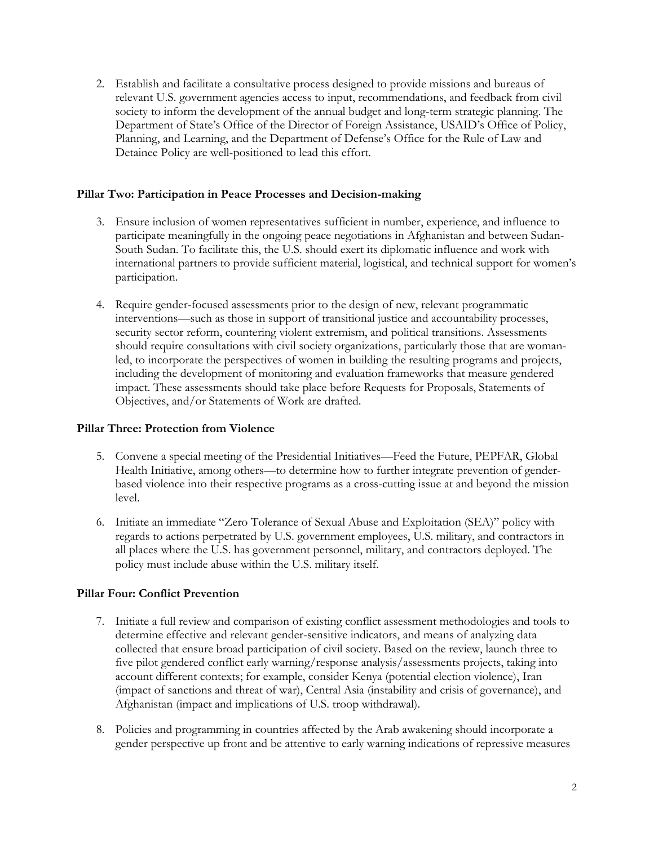2. Establish and facilitate a consultative process designed to provide missions and bureaus of relevant U.S. government agencies access to input, recommendations, and feedback from civil society to inform the development of the annual budget and long-term strategic planning. The Department of State's Office of the Director of Foreign Assistance, USAID's Office of Policy, Planning, and Learning, and the Department of Defense's Office for the Rule of Law and Detainee Policy are well-positioned to lead this effort.

#### **Pillar Two: Participation in Peace Processes and Decision-making**

- 3. Ensure inclusion of women representatives sufficient in number, experience, and influence to participate meaningfully in the ongoing peace negotiations in Afghanistan and between Sudan-South Sudan. To facilitate this, the U.S. should exert its diplomatic influence and work with international partners to provide sufficient material, logistical, and technical support for women's participation.
- 4. Require gender-focused assessments prior to the design of new, relevant programmatic interventions—such as those in support of transitional justice and accountability processes, security sector reform, countering violent extremism, and political transitions. Assessments should require consultations with civil society organizations, particularly those that are womanled, to incorporate the perspectives of women in building the resulting programs and projects, including the development of monitoring and evaluation frameworks that measure gendered impact. These assessments should take place before Requests for Proposals, Statements of Objectives, and/or Statements of Work are drafted.

#### **Pillar Three: Protection from Violence**

- 5. Convene a special meeting of the Presidential Initiatives—Feed the Future, PEPFAR, Global Health Initiative, among others—to determine how to further integrate prevention of genderbased violence into their respective programs as a cross-cutting issue at and beyond the mission level.
- 6. Initiate an immediate "Zero Tolerance of Sexual Abuse and Exploitation (SEA)" policy with regards to actions perpetrated by U.S. government employees, U.S. military, and contractors in all places where the U.S. has government personnel, military, and contractors deployed. The policy must include abuse within the U.S. military itself.

#### **Pillar Four: Conflict Prevention**

- 7. Initiate a full review and comparison of existing conflict assessment methodologies and tools to determine effective and relevant gender-sensitive indicators, and means of analyzing data collected that ensure broad participation of civil society. Based on the review, launch three to five pilot gendered conflict early warning/response analysis/assessments projects, taking into account different contexts; for example, consider Kenya (potential election violence), Iran (impact of sanctions and threat of war), Central Asia (instability and crisis of governance), and Afghanistan (impact and implications of U.S. troop withdrawal).
- 8. Policies and programming in countries affected by the Arab awakening should incorporate a gender perspective up front and be attentive to early warning indications of repressive measures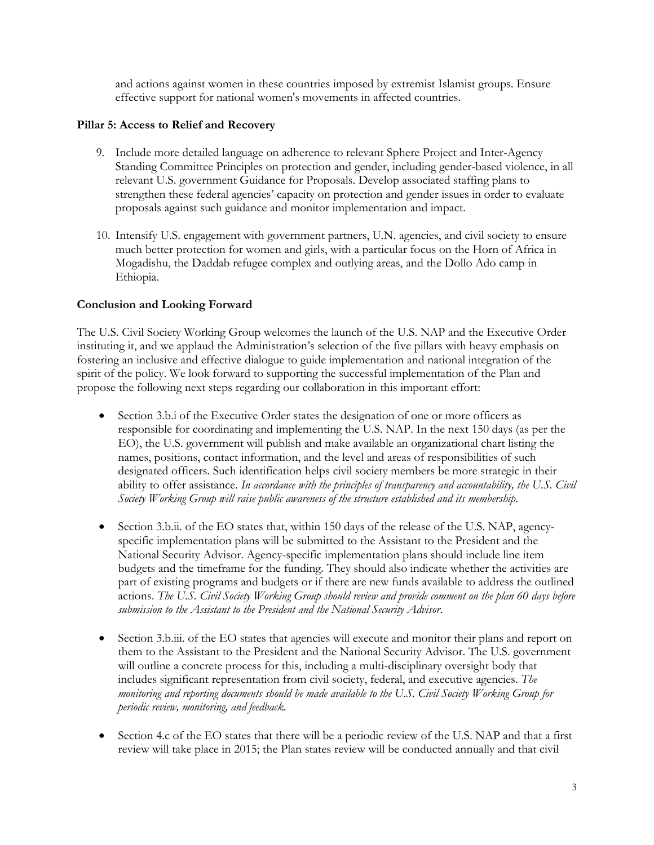and actions against women in these countries imposed by extremist Islamist groups. Ensure effective support for national women's movements in affected countries.

#### **Pillar 5: Access to Relief and Recovery**

- 9. Include more detailed language on adherence to relevant Sphere Project and Inter-Agency Standing Committee Principles on protection and gender, including gender-based violence, in all relevant U.S. government Guidance for Proposals. Develop associated staffing plans to strengthen these federal agencies' capacity on protection and gender issues in order to evaluate proposals against such guidance and monitor implementation and impact.
- 10. Intensify U.S. engagement with government partners, U.N. agencies, and civil society to ensure much better protection for women and girls, with a particular focus on the Horn of Africa in Mogadishu, the Daddab refugee complex and outlying areas, and the Dollo Ado camp in Ethiopia.

#### **Conclusion and Looking Forward**

The U.S. Civil Society Working Group welcomes the launch of the U.S. NAP and the Executive Order instituting it, and we applaud the Administration's selection of the five pillars with heavy emphasis on fostering an inclusive and effective dialogue to guide implementation and national integration of the spirit of the policy. We look forward to supporting the successful implementation of the Plan and propose the following next steps regarding our collaboration in this important effort:

- Section 3.b.i of the Executive Order states the designation of one or more officers as responsible for coordinating and implementing the U.S. NAP. In the next 150 days (as per the EO), the U.S. government will publish and make available an organizational chart listing the names, positions, contact information, and the level and areas of responsibilities of such designated officers*.* Such identification helps civil society members be more strategic in their ability to offer assistance. *In accordance with the principles of transparency and accountability, the U.S. Civil Society Working Group will raise public awareness of the structure established and its membership.*
- Section 3.b.ii. of the EO states that, within 150 days of the release of the U.S. NAP, agencyspecific implementation plans will be submitted to the Assistant to the President and the National Security Advisor. Agency-specific implementation plans should include line item budgets and the timeframe for the funding. They should also indicate whether the activities are part of existing programs and budgets or if there are new funds available to address the outlined actions. *The U.S. Civil Society Working Group should review and provide comment on the plan 60 days before submission to the Assistant to the President and the National Security Advisor*.
- Section 3.b.iii. of the EO states that agencies will execute and monitor their plans and report on them to the Assistant to the President and the National Security Advisor. The U.S. government will outline a concrete process for this, including a multi-disciplinary oversight body that includes significant representation from civil society, federal, and executive agencies. *The monitoring and reporting documents should be made available to the U.S. Civil Society Working Group for periodic review, monitoring, and feedback.*
- Section 4.c of the EO states that there will be a periodic review of the U.S. NAP and that a first review will take place in 2015; the Plan states review will be conducted annually and that civil